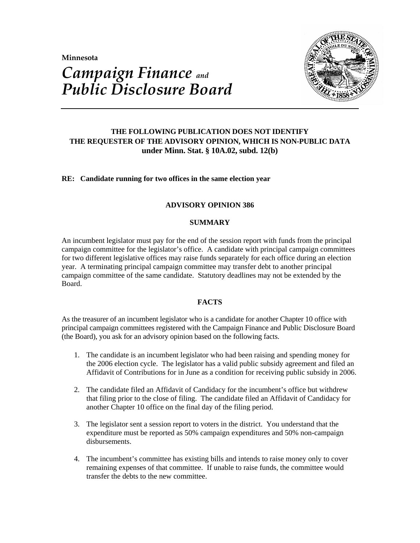**Minnesota** 



# *Campaign Finance and Public Disclosure Board*

## **THE FOLLOWING PUBLICATION DOES NOT IDENTIFY THE REQUESTER OF THE ADVISORY OPINION, WHICH IS NON-PUBLIC DATA under Minn. Stat. § 10A.02, subd. 12(b)**

## **RE: Candidate running for two offices in the same election year**

## **ADVISORY OPINION 386**

## **SUMMARY**

An incumbent legislator must pay for the end of the session report with funds from the principal campaign committee for the legislator's office. A candidate with principal campaign committees for two different legislative offices may raise funds separately for each office during an election year. A terminating principal campaign committee may transfer debt to another principal campaign committee of the same candidate. Statutory deadlines may not be extended by the Board.

## **FACTS**

As the treasurer of an incumbent legislator who is a candidate for another Chapter 10 office with principal campaign committees registered with the Campaign Finance and Public Disclosure Board (the Board), you ask for an advisory opinion based on the following facts.

- 1. The candidate is an incumbent legislator who had been raising and spending money for the 2006 election cycle. The legislator has a valid public subsidy agreement and filed an Affidavit of Contributions for in June as a condition for receiving public subsidy in 2006.
- 2. The candidate filed an Affidavit of Candidacy for the incumbent's office but withdrew that filing prior to the close of filing. The candidate filed an Affidavit of Candidacy for another Chapter 10 office on the final day of the filing period.
- 3. The legislator sent a session report to voters in the district. You understand that the expenditure must be reported as 50% campaign expenditures and 50% non-campaign disbursements.
- 4. The incumbent's committee has existing bills and intends to raise money only to cover remaining expenses of that committee. If unable to raise funds, the committee would transfer the debts to the new committee.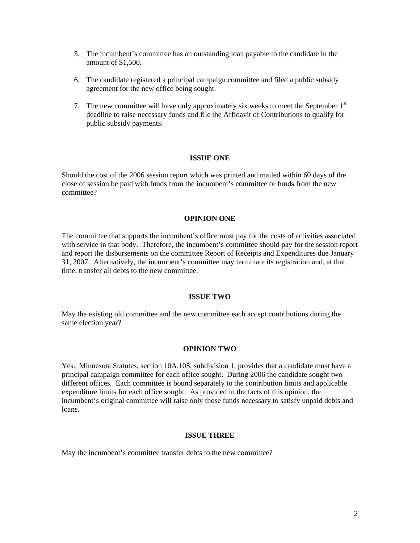- 5. The incumbent's committee has an outstanding loan payable to the candidate in the amount of \$1,500
- 6. The candidate registered a principal campaign committee and filed a public subsidy agreement for the new office being sought.
- 7. The new committee will have only approximately six weeks to meet the September 1<sup>st</sup> deadline to raise necessary funds and file the Affidavit of Contributions to qualify for public subsidy payments.

## **ISSUE ONE**

Should the cost of the 2006 session report which was printed and mailed within 60 days of the close of session be paid with funds from the incumbent's committee or funds from the new committee?

## **OPINION ONE**

The committee that supports the incumbent's office must pay for the costs of activities associated with service in that body. Therefore, the incumbent's committee should pay for the session report and report the disbursements on the committee Report of Receipts and Expenditures due January 31, 2007. Alternatively, the incumbent's committee may terminate its registration and, at that time, transfer all debts to the new committee.

#### **ISSUE TWO**

May the existing old committee and the new committee each accept contributions during the same election year?

### **OPINION TWO**

Yes. Minnesota Statutes, section 10A.105, subdivision 1, provides that a candidate must have a principal campaign committee for each office sought. During 2006 the candidate sought two different offices. Each committee is bound separately to the contribution limits and applicable expenditure limits for each office sought. As provided in the facts of this opinion, the incumbent's original committee will raise only those funds necessary to satisfy unpaid debts and loans.

## **ISSUE THREE**

May the incumbent's committee transfer debts to the new committee?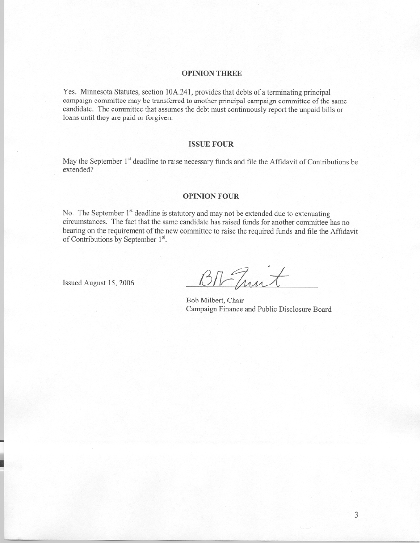#### **OPINION THREE**

Yes. Minnesota Statutes, section 10A.241, provides that debts of a terminating principal campaign committee may be transferred to another principal campaign committee of the same candidate. The committee that assumes the debt must continuously report the unpaid bills or loans until they are paid or forgiven.

## **ISSUE FOUR**

May the September 1<sup>st</sup> deadline to raise necessary funds and file the Affidavit of Contributions be extended?

#### **OPINION FOUR**

No. The September 1<sup>st</sup> deadline is statutory and may not be extended due to extenuating circumstances. The fact that the same candidate has raised funds for another committee has no bearing on the requirement of the new committee to raise the required funds and file the Affidavit of Contributions by September 1st.

Issued August 15, 2006

BITunt

Bob Milbert, Chair Campaign Finance and Public Disclosure Board